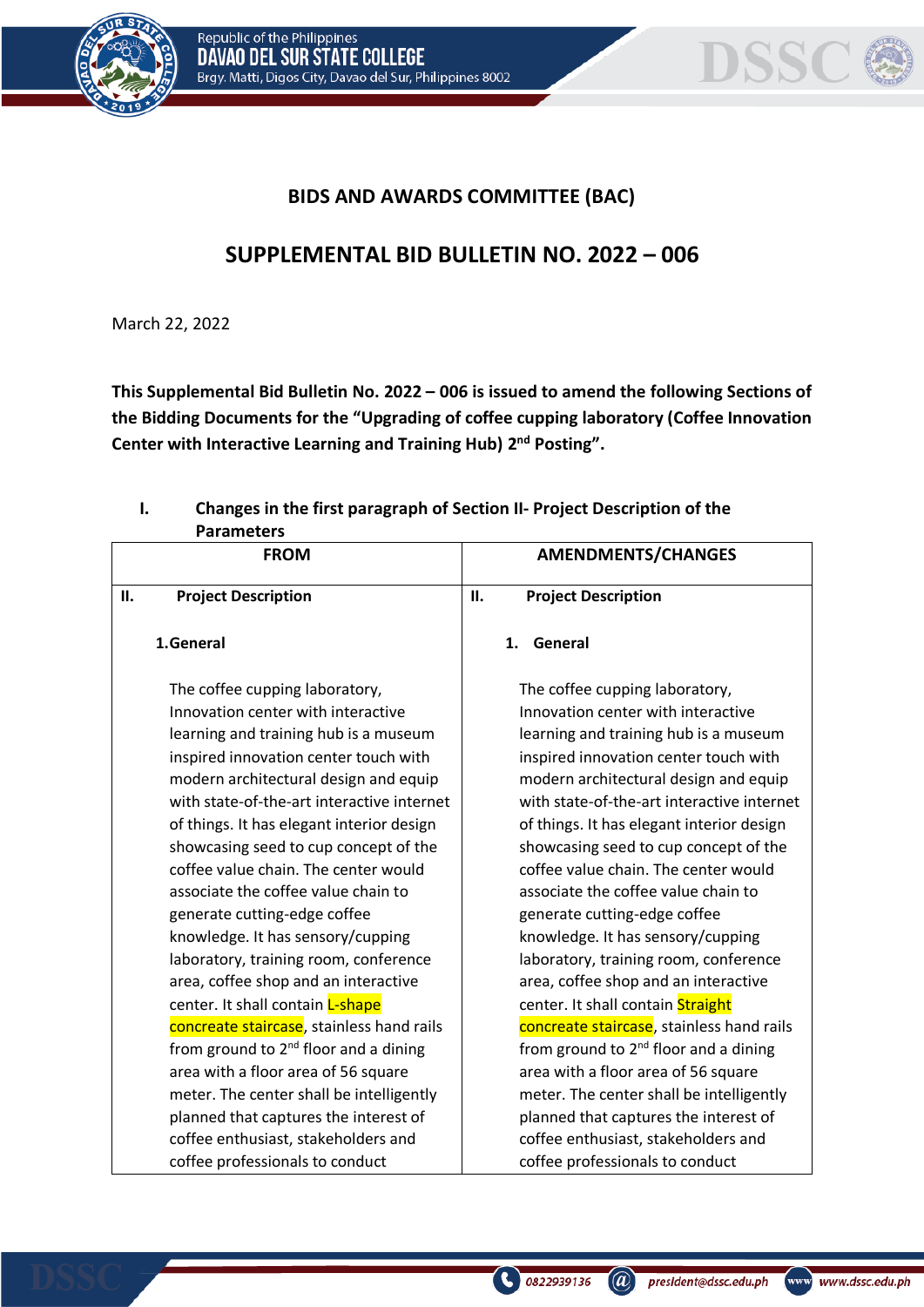



## **BIDS AND AWARDS COMMITTEE (BAC)**

## **SUPPLEMENTAL BID BULLETIN NO. 2022 – 006**

March 22, 2022

**This Supplemental Bid Bulletin No. 2022 – 006 is issued to amend the following Sections of the Bidding Documents for the "Upgrading of coffee cupping laboratory (Coffee Innovation Center with Interactive Learning and Training Hub) 2 nd Posting".**

## **I. Changes in the first paragraph of Section II- Project Description of the Parameters**

|    | <b>FROM</b>                                                                                                                                                                                                                                                                                                                                                                                                                                                                                                                                                                                                                                                                                                                                                                                                                                                                       | <b>AMENDMENTS/CHANGES</b>                                                                                                                                                                                                                                                                                                                                                                                                                                                                                                                                                                                                                                                                                                                                                                                                                                                          |
|----|-----------------------------------------------------------------------------------------------------------------------------------------------------------------------------------------------------------------------------------------------------------------------------------------------------------------------------------------------------------------------------------------------------------------------------------------------------------------------------------------------------------------------------------------------------------------------------------------------------------------------------------------------------------------------------------------------------------------------------------------------------------------------------------------------------------------------------------------------------------------------------------|------------------------------------------------------------------------------------------------------------------------------------------------------------------------------------------------------------------------------------------------------------------------------------------------------------------------------------------------------------------------------------------------------------------------------------------------------------------------------------------------------------------------------------------------------------------------------------------------------------------------------------------------------------------------------------------------------------------------------------------------------------------------------------------------------------------------------------------------------------------------------------|
| П. | <b>Project Description</b>                                                                                                                                                                                                                                                                                                                                                                                                                                                                                                                                                                                                                                                                                                                                                                                                                                                        | <b>II.</b><br><b>Project Description</b>                                                                                                                                                                                                                                                                                                                                                                                                                                                                                                                                                                                                                                                                                                                                                                                                                                           |
|    | 1.General                                                                                                                                                                                                                                                                                                                                                                                                                                                                                                                                                                                                                                                                                                                                                                                                                                                                         | 1 <sup>1</sup><br>General                                                                                                                                                                                                                                                                                                                                                                                                                                                                                                                                                                                                                                                                                                                                                                                                                                                          |
|    | The coffee cupping laboratory,<br>Innovation center with interactive<br>learning and training hub is a museum<br>inspired innovation center touch with<br>modern architectural design and equip<br>with state-of-the-art interactive internet<br>of things. It has elegant interior design<br>showcasing seed to cup concept of the<br>coffee value chain. The center would<br>associate the coffee value chain to<br>generate cutting-edge coffee<br>knowledge. It has sensory/cupping<br>laboratory, training room, conference<br>area, coffee shop and an interactive<br>center. It shall contain L-shape<br>concreate staircase, stainless hand rails<br>from ground to 2 <sup>nd</sup> floor and a dining<br>area with a floor area of 56 square<br>meter. The center shall be intelligently<br>planned that captures the interest of<br>coffee enthusiast, stakeholders and | The coffee cupping laboratory,<br>Innovation center with interactive<br>learning and training hub is a museum<br>inspired innovation center touch with<br>modern architectural design and equip<br>with state-of-the-art interactive internet<br>of things. It has elegant interior design<br>showcasing seed to cup concept of the<br>coffee value chain. The center would<br>associate the coffee value chain to<br>generate cutting-edge coffee<br>knowledge. It has sensory/cupping<br>laboratory, training room, conference<br>area, coffee shop and an interactive<br>center. It shall contain Straight<br>concreate staircase, stainless hand rails<br>from ground to 2 <sup>nd</sup> floor and a dining<br>area with a floor area of 56 square<br>meter. The center shall be intelligently<br>planned that captures the interest of<br>coffee enthusiast, stakeholders and |
|    | coffee professionals to conduct                                                                                                                                                                                                                                                                                                                                                                                                                                                                                                                                                                                                                                                                                                                                                                                                                                                   | coffee professionals to conduct                                                                                                                                                                                                                                                                                                                                                                                                                                                                                                                                                                                                                                                                                                                                                                                                                                                    |